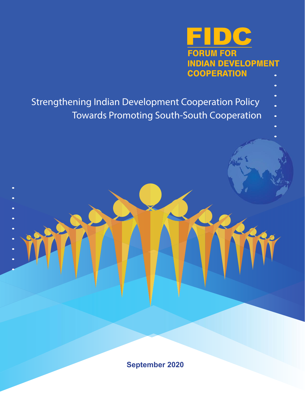

- Strengthening Indian Development Cooperation Policy
	- Towards Promoting South-South Cooperation

**September 2020**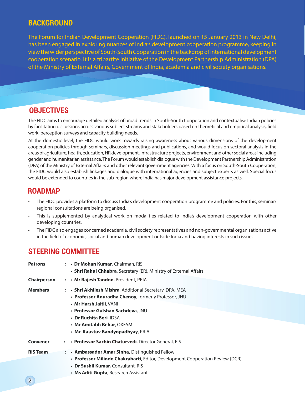# **Background**

The Forum for Indian Development Cooperation (FIDC), launched on 15 January 2013 in New Delhi, has been engaged in exploring nuances of India's development cooperation programme, keeping in view the wider perspective of South-South Cooperation in the backdrop of international development cooperation scenario. It is a tripartite initiative of the Development Partnership Administration (DPA) of the Ministry of External Affairs, Government of India, academia and civil society organisations.

# **Objectives**

The FIDC aims to encourage detailed analysis of broad trends in South-South Cooperation and contextualise Indian policies by facilitating discussions across various subject streams and stakeholders based on theoretical and empirical analysis, field work, perception surveys and capacity building needs.

At the domestic level, the FIDC would work towards raising awareness about various dimensions of the development cooperation policies through seminars, discussion meetings and publications, and would focus on sectoral analysis in the areas of agriculture, health, education, HR development, infrastructure projects, environment and other social areas including gender and humanitarian assistance. The Forum would establish dialogue with the Development Partnership Administration (DPA) of the Ministry of External Affairs and other relevant government agencies. With a focus on South-South Cooperation, the FIDC would also establish linkages and dialogue with international agencies and subject experts as well. Special focus would be extended to countries in the sub-region where India has major development assistance projects.

# **Roadmap**

- The FIDC provides a platform to discuss India's development cooperation programme and policies. For this, seminar/ regional consultations are being organised.
- This is supplemented by analytical work on modalities related to India's development cooperation with other developing countries.
- The FIDC also engages concerned academia, civil society representatives and non-governmental organisations active in the field of economic, social and human development outside India and having interests in such issues.

## **Steering Committee**

| <b>Patrons</b>     | : . Dr Mohan Kumar, Chairman, RIS<br>• Shri Rahul Chhabra, Secretary (ER), Ministry of External Affairs                                                                                                                                                                            |
|--------------------|------------------------------------------------------------------------------------------------------------------------------------------------------------------------------------------------------------------------------------------------------------------------------------|
| <b>Chairperson</b> | : • Mr Rajesh Tandon, President, PRIA                                                                                                                                                                                                                                              |
| Members            | $: \cdot$ Shri Akhilesh Mishra, Additional Secretary, DPA, MEA<br>• Professor Anuradha Chenoy, formerly Professor, JNU<br>• Mr Harsh Jaitli, VANI<br>• Professor Gulshan Sachdeva, JNU<br>• Dr Ruchita Beri, IDSA<br>• Mr Amitabh Behar, OXFAM<br>· Mr Kaustuv Bandyopadhyay, PRIA |
| Convener           | • Professor Sachin Chaturvedi, Director General, RIS                                                                                                                                                                                                                               |
| <b>RIS Team</b>    | : • Ambassador Amar Sinha, Distinguished Fellow<br>• Professor Milindo Chakrabarti, Editor, Development Cooperation Review (DCR)<br>• Dr Sushil Kumar, Consultant, RIS<br>• Ms Aditi Gupta, Research Assistant                                                                     |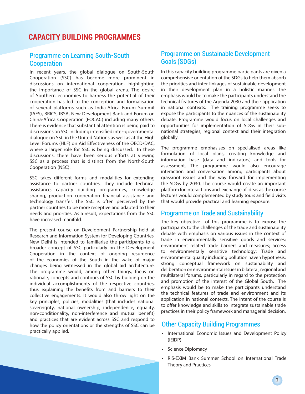# **Capacity Building Programmes**

### Programme on Learning South-South **Cooperation**

In recent years, the global dialogue on South-South Cooperation (SSC) has become more prominent in discussions on international cooperation, highlighting the importance of SSC in the global arena. The desire of Southern economies to harness the potential of their cooperation has led to the conception and formalisation of several platforms such as India-Africa Forum Summit (IAFS), BRICS, IBSA, New Development Bank and Forum on China-Africa Cooperation (FOCAC) including many others. There is evidence that substantial attention is being paid to discussions on SSC including intensified inter-governmental dialogue on SSC in the United Nations as well as at the High Level Forums (HLF) on Aid Effectiveness of the OECD/DAC, where a larger role for SSC is being discussed. In these discussions, there have been serious efforts at viewing SSC as a process that is distinct from the North-South Cooperation (NSC).

SSC takes different forms and modalities for extending assistance to partner countries. They include technical assistance, capacity building programmes, knowledge sharing, production cooperation financial assistance and technology transfer. The SSC is often perceived by the partner countries to be more receptive and adapted to their needs and priorities. As a result, expectations from the SSC have increased manifold.

The present course on Development Partnership held at Research and Information System for Developing Countries, New Delhi is intended to familiarise the participants to a broader concept of SSC particularly on the Development Cooperation in the context of ongoing resurgence of the economies of the South in the wake of major changes being witnessed in the global aid architecture. The programme would, among other things, focus on rationale, concepts and contours of SSC by building on the individual accomplishments of the respective countries, thus explaining the benefits from and barriers to their collective engagements. It would also throw light on the key principles, policies, modalities (that includes national sovereignty, national ownership, independence, equality, non-conditionality, non-interference and mutual benefit) and practices that are evident across SSC and respond to how the policy orientations or the strengths of SSC can be practically applied.

#### Programme on Sustainable Development Goals (SDGs)

In this capacity building programme participants are given a comprehensive orientation of the SDGs to help them absorb the priorities and inter-linkages of sustainable development in their development plan in a holistic manner. The emphasis would be to make the participants understand the technical features of the Agenda 2030 and their application in national contexts. The training programme seeks to expose the participants to the nuances of the sustainability debate. Programme would focus on local challenges and opportunities for implementation of SDGs in their subnational strategies, regional context and their integration globally.

The programme emphasises on specialised areas like formulation of local plans, creating knowledge and information base (data and indicators) and tools for assessment. The programme would also encourage interaction and conversation among participants about grassroot issues and the way forward for implementing the SDGs by 2030. The course would create an important platform for interactions and exchange of ideas as the course lectures would complemented by study tours and field visits that would provide practical and learning exposure.

#### Programme on Trade and Sustainability

The key objective of this programme is to expose the participants to the challenges of the trade and sustainability debate with emphasis on various issues in the context of trade in environmentally sensitive goods and services; environment related trade barriers and measures; access to environmentally sensitive technology; Trade and environmental quality including pollution haven hypothesis; strong conceptual framework on sustainability and deliberation on environmental issues in bilateral, regional and multilateral forums, particularly in regard to the protection and promotion of the interest of the Global South. The emphasis would be to make the participants understand the technical features of trade and environment and its application in national contexts. The intent of the course is to offer knowledge and skills to integrate sustainable trade practices in their policy framework and managerial decision.

#### Other Capacity Building Programmes

- International Economic Issues and Development Policy (IEIDP)
- • Science Diplomacy
- RIS-EXIM Bank Summer School on International Trade Theory and Practices